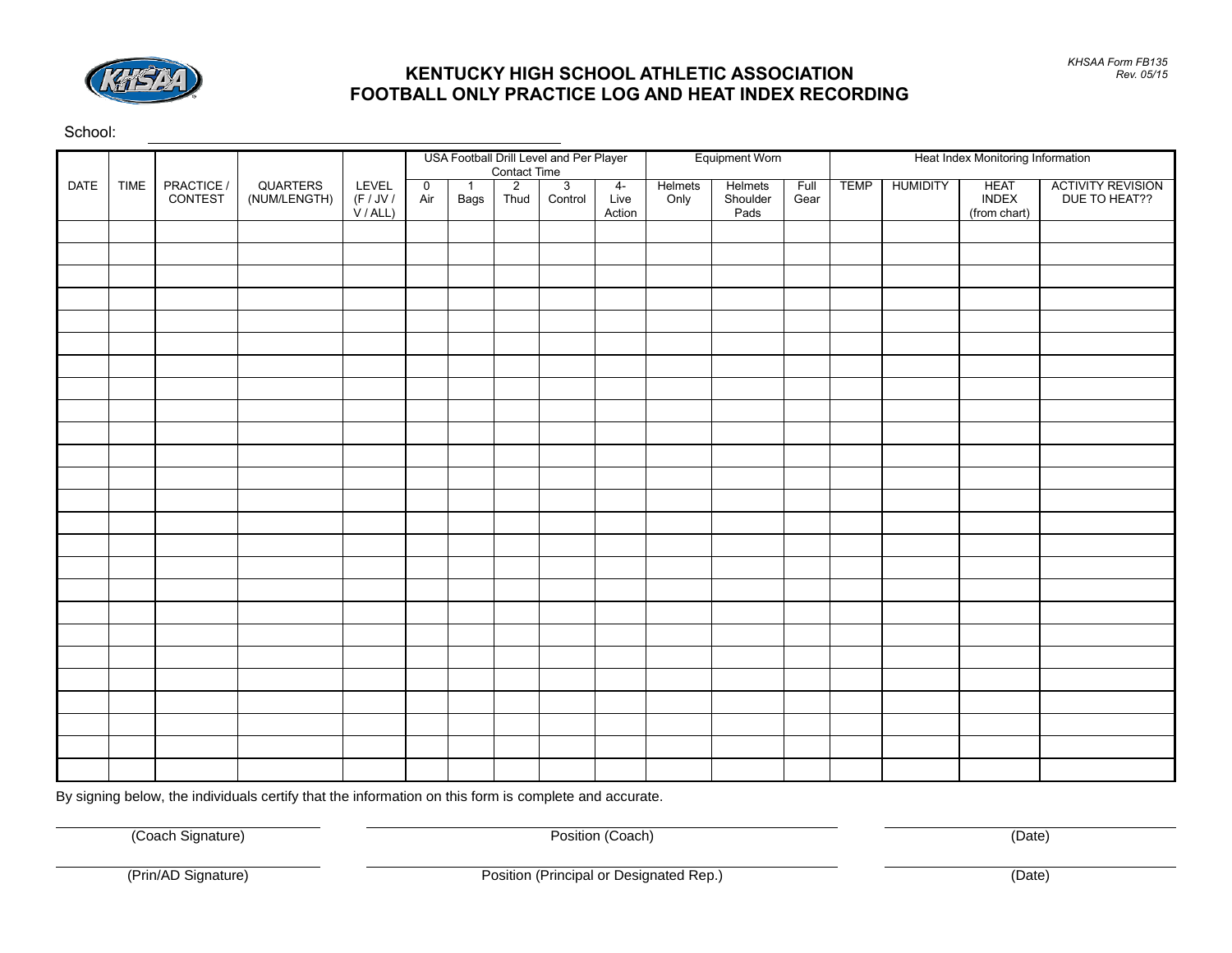

## **KENTUCKY HIGH SCHOOL ATHLETIC ASSOCIATION FOOTBALL ONLY PRACTICE LOG AND HEAT INDEX RECORDING**

School:

|      |      |                       |                          |                                | USA Football Drill Level and Per Player<br>Contact Time<br>0 1 2 3 4 |      |      |         | Equipment Worn |                 |                             | Heat Index Monitoring Information |             |                 |                               |                                    |
|------|------|-----------------------|--------------------------|--------------------------------|----------------------------------------------------------------------|------|------|---------|----------------|-----------------|-----------------------------|-----------------------------------|-------------|-----------------|-------------------------------|------------------------------------|
| DATE | TIME | PRACTICE /<br>CONTEST | QUARTERS<br>(NUM/LENGTH) | LEVEL<br>(F / JV /<br>V / ALL) | 0<br>Air                                                             | Bags | Thud | Control | Live<br>Action | Helmets<br>Only | Helmets<br>Shoulder<br>Pads | Full<br>Gear                      | <b>TEMP</b> | <b>HUMIDITY</b> | HEAT<br>INDEX<br>(from chart) | ACTIVITY REVISION<br>DUE TO HEAT?? |
|      |      |                       |                          |                                |                                                                      |      |      |         |                |                 |                             |                                   |             |                 |                               |                                    |
|      |      |                       |                          |                                |                                                                      |      |      |         |                |                 |                             |                                   |             |                 |                               |                                    |
|      |      |                       |                          |                                |                                                                      |      |      |         |                |                 |                             |                                   |             |                 |                               |                                    |
|      |      |                       |                          |                                |                                                                      |      |      |         |                |                 |                             |                                   |             |                 |                               |                                    |
|      |      |                       |                          |                                |                                                                      |      |      |         |                |                 |                             |                                   |             |                 |                               |                                    |
|      |      |                       |                          |                                |                                                                      |      |      |         |                |                 |                             |                                   |             |                 |                               |                                    |
|      |      |                       |                          |                                |                                                                      |      |      |         |                |                 |                             |                                   |             |                 |                               |                                    |
|      |      |                       |                          |                                |                                                                      |      |      |         |                |                 |                             |                                   |             |                 |                               |                                    |
|      |      |                       |                          |                                |                                                                      |      |      |         |                |                 |                             |                                   |             |                 |                               |                                    |
|      |      |                       |                          |                                |                                                                      |      |      |         |                |                 |                             |                                   |             |                 |                               |                                    |
|      |      |                       |                          |                                |                                                                      |      |      |         |                |                 |                             |                                   |             |                 |                               |                                    |
|      |      |                       |                          |                                |                                                                      |      |      |         |                |                 |                             |                                   |             |                 |                               |                                    |
|      |      |                       |                          |                                |                                                                      |      |      |         |                |                 |                             |                                   |             |                 |                               |                                    |
|      |      |                       |                          |                                |                                                                      |      |      |         |                |                 |                             |                                   |             |                 |                               |                                    |
|      |      |                       |                          |                                |                                                                      |      |      |         |                |                 |                             |                                   |             |                 |                               |                                    |
|      |      |                       |                          |                                |                                                                      |      |      |         |                |                 |                             |                                   |             |                 |                               |                                    |
|      |      |                       |                          |                                |                                                                      |      |      |         |                |                 |                             |                                   |             |                 |                               |                                    |
|      |      |                       |                          |                                |                                                                      |      |      |         |                |                 |                             |                                   |             |                 |                               |                                    |
|      |      |                       |                          |                                |                                                                      |      |      |         |                |                 |                             |                                   |             |                 |                               |                                    |
|      |      |                       |                          |                                |                                                                      |      |      |         |                |                 |                             |                                   |             |                 |                               |                                    |
|      |      |                       |                          |                                |                                                                      |      |      |         |                |                 |                             |                                   |             |                 |                               |                                    |
|      |      |                       |                          |                                |                                                                      |      |      |         |                |                 |                             |                                   |             |                 |                               |                                    |
|      |      |                       |                          |                                |                                                                      |      |      |         |                |                 |                             |                                   |             |                 |                               |                                    |
|      |      |                       |                          |                                |                                                                      |      |      |         |                |                 |                             |                                   |             |                 |                               |                                    |
|      |      |                       |                          |                                |                                                                      |      |      |         |                |                 |                             |                                   |             |                 |                               |                                    |

By signing below, the individuals certify that the information on this form is complete and accurate.

(Coach Signature) **Position** (Coach) **Position** (Coach) (Date)